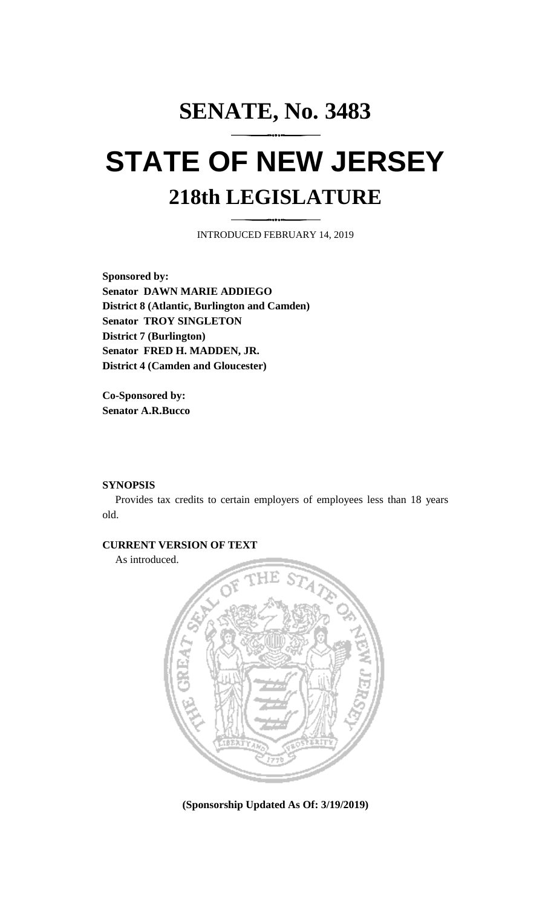# **SENATE, No. 3483 STATE OF NEW JERSEY 218th LEGISLATURE**

INTRODUCED FEBRUARY 14, 2019

**Sponsored by: Senator DAWN MARIE ADDIEGO District 8 (Atlantic, Burlington and Camden) Senator TROY SINGLETON District 7 (Burlington) Senator FRED H. MADDEN, JR. District 4 (Camden and Gloucester)**

**Co-Sponsored by: Senator A.R.Bucco**

#### **SYNOPSIS**

Provides tax credits to certain employers of employees less than 18 years old.

### **CURRENT VERSION OF TEXT**

As introduced.



**(Sponsorship Updated As Of: 3/19/2019)**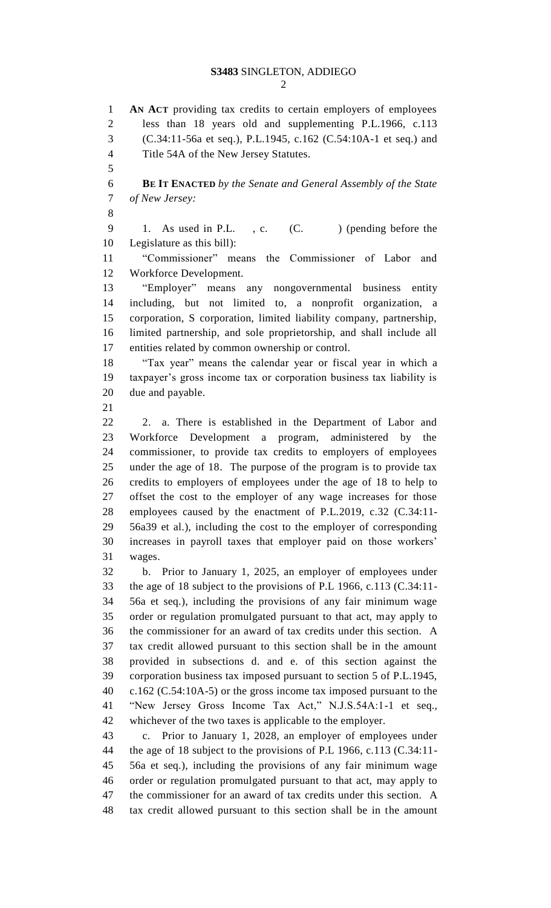## **S3483** SINGLETON, ADDIEGO

 **AN ACT** providing tax credits to certain employers of employees less than 18 years old and supplementing P.L.1966, c.113 (C.34:11-56a et seq.), P.L.1945, c.162 (C.54:10A-1 et seq.) and Title 54A of the New Jersey Statutes. 

 **BE IT ENACTED** *by the Senate and General Assembly of the State of New Jersey:*

9 1. As used in P.L., c. (C. ) (pending before the Legislature as this bill):

 "Commissioner" means the Commissioner of Labor and Workforce Development.

 "Employer" means any nongovernmental business entity including, but not limited to, a nonprofit organization, a corporation, S corporation, limited liability company, partnership, limited partnership, and sole proprietorship, and shall include all entities related by common ownership or control.

 "Tax year" means the calendar year or fiscal year in which a taxpayer's gross income tax or corporation business tax liability is due and payable.

 2. a. There is established in the Department of Labor and Workforce Development a program, administered by the commissioner, to provide tax credits to employers of employees under the age of 18. The purpose of the program is to provide tax credits to employers of employees under the age of 18 to help to offset the cost to the employer of any wage increases for those employees caused by the enactment of P.L.2019, c.32 (C.34:11- 56a39 et al.), including the cost to the employer of corresponding increases in payroll taxes that employer paid on those workers' wages.

 b. Prior to January 1, 2025, an employer of employees under the age of 18 subject to the provisions of P.L 1966, c.113 (C.34:11- 56a et seq.), including the provisions of any fair minimum wage order or regulation promulgated pursuant to that act, may apply to the commissioner for an award of tax credits under this section. A tax credit allowed pursuant to this section shall be in the amount provided in subsections d. and e. of this section against the corporation business tax imposed pursuant to section 5 of P.L.1945, c.162 (C.54:10A-5) or the gross income tax imposed pursuant to the "New Jersey Gross Income Tax Act," N.J.S.54A:1-1 et seq., whichever of the two taxes is applicable to the employer.

 c. Prior to January 1, 2028, an employer of employees under the age of 18 subject to the provisions of P.L 1966, c.113 (C.34:11- 56a et seq.), including the provisions of any fair minimum wage order or regulation promulgated pursuant to that act, may apply to the commissioner for an award of tax credits under this section. A tax credit allowed pursuant to this section shall be in the amount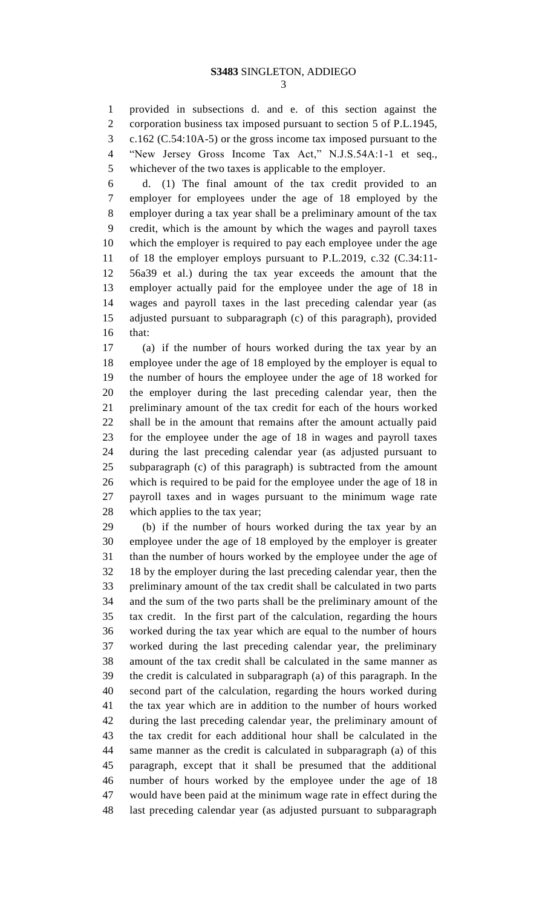provided in subsections d. and e. of this section against the corporation business tax imposed pursuant to section 5 of P.L.1945, c.162 (C.54:10A-5) or the gross income tax imposed pursuant to the "New Jersey Gross Income Tax Act," N.J.S.54A:1-1 et seq., whichever of the two taxes is applicable to the employer.

 d. (1) The final amount of the tax credit provided to an employer for employees under the age of 18 employed by the employer during a tax year shall be a preliminary amount of the tax credit, which is the amount by which the wages and payroll taxes which the employer is required to pay each employee under the age of 18 the employer employs pursuant to P.L.2019, c.32 (C.34:11- 56a39 et al.) during the tax year exceeds the amount that the employer actually paid for the employee under the age of 18 in wages and payroll taxes in the last preceding calendar year (as adjusted pursuant to subparagraph (c) of this paragraph), provided that:

 (a) if the number of hours worked during the tax year by an employee under the age of 18 employed by the employer is equal to the number of hours the employee under the age of 18 worked for the employer during the last preceding calendar year, then the preliminary amount of the tax credit for each of the hours worked shall be in the amount that remains after the amount actually paid for the employee under the age of 18 in wages and payroll taxes during the last preceding calendar year (as adjusted pursuant to subparagraph (c) of this paragraph) is subtracted from the amount which is required to be paid for the employee under the age of 18 in payroll taxes and in wages pursuant to the minimum wage rate which applies to the tax year;

 (b) if the number of hours worked during the tax year by an employee under the age of 18 employed by the employer is greater than the number of hours worked by the employee under the age of 18 by the employer during the last preceding calendar year, then the preliminary amount of the tax credit shall be calculated in two parts and the sum of the two parts shall be the preliminary amount of the tax credit. In the first part of the calculation, regarding the hours worked during the tax year which are equal to the number of hours worked during the last preceding calendar year, the preliminary amount of the tax credit shall be calculated in the same manner as the credit is calculated in subparagraph (a) of this paragraph. In the second part of the calculation, regarding the hours worked during the tax year which are in addition to the number of hours worked during the last preceding calendar year, the preliminary amount of the tax credit for each additional hour shall be calculated in the same manner as the credit is calculated in subparagraph (a) of this paragraph, except that it shall be presumed that the additional number of hours worked by the employee under the age of 18 would have been paid at the minimum wage rate in effect during the last preceding calendar year (as adjusted pursuant to subparagraph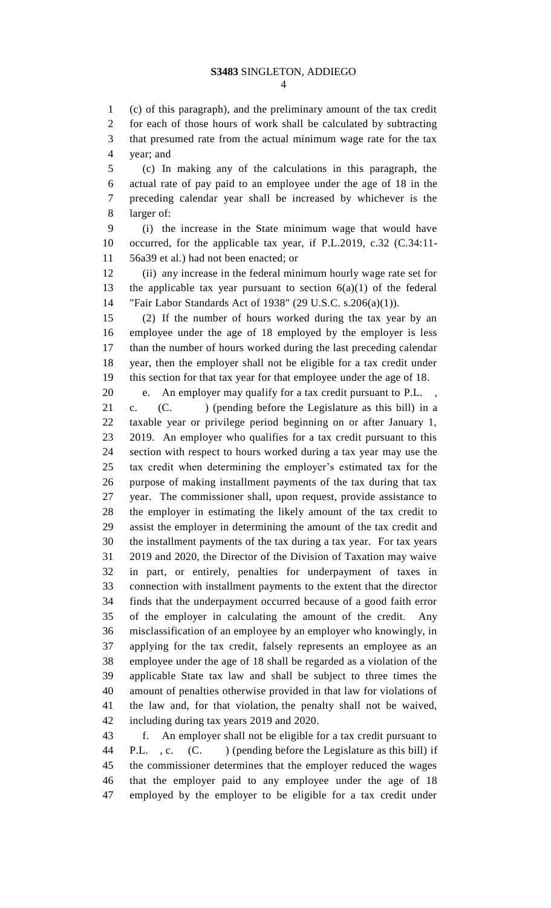(c) of this paragraph), and the preliminary amount of the tax credit for each of those hours of work shall be calculated by subtracting that presumed rate from the actual minimum wage rate for the tax year; and

 (c) In making any of the calculations in this paragraph, the actual rate of pay paid to an employee under the age of 18 in the preceding calendar year shall be increased by whichever is the larger of:

 (i) the increase in the State minimum wage that would have occurred, for the applicable tax year, if P.L.2019, c.32 (C.34:11- 56a39 et al.) had not been enacted; or

 (ii) any increase in the federal minimum hourly wage rate set for 13 the applicable tax year pursuant to section  $6(a)(1)$  of the federal "Fair Labor Standards Act of 1938" (29 U.S.C. s.206(a)(1)).

 (2) If the number of hours worked during the tax year by an employee under the age of 18 employed by the employer is less than the number of hours worked during the last preceding calendar year, then the employer shall not be eligible for a tax credit under this section for that tax year for that employee under the age of 18.

 e. An employer may qualify for a tax credit pursuant to P.L. , c. (C. ) (pending before the Legislature as this bill) in a taxable year or privilege period beginning on or after January 1, 2019. An employer who qualifies for a tax credit pursuant to this section with respect to hours worked during a tax year may use the tax credit when determining the employer's estimated tax for the purpose of making installment payments of the tax during that tax year. The commissioner shall, upon request, provide assistance to the employer in estimating the likely amount of the tax credit to assist the employer in determining the amount of the tax credit and the installment payments of the tax during a tax year. For tax years 2019 and 2020, the Director of the Division of Taxation may waive in part, or entirely, penalties for underpayment of taxes in connection with installment payments to the extent that the director finds that the underpayment occurred because of a good faith error of the employer in calculating the amount of the credit. Any misclassification of an employee by an employer who knowingly, in applying for the tax credit, falsely represents an employee as an employee under the age of 18 shall be regarded as a violation of the applicable State tax law and shall be subject to three times the amount of penalties otherwise provided in that law for violations of the law and, for that violation, the penalty shall not be waived, including during tax years 2019 and 2020.

 f. An employer shall not be eligible for a tax credit pursuant to 44 P.L., c. (C. ) (pending before the Legislature as this bill) if the commissioner determines that the employer reduced the wages that the employer paid to any employee under the age of 18 employed by the employer to be eligible for a tax credit under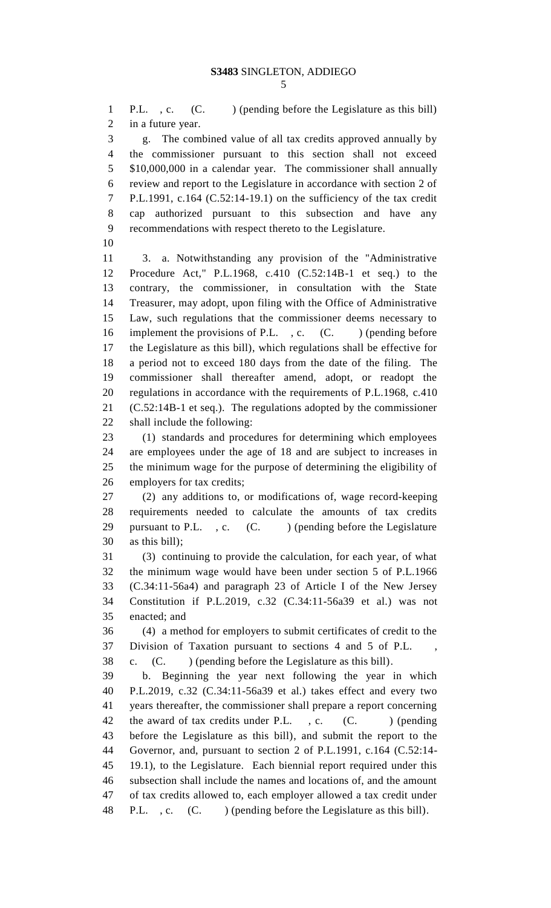P.L. , c. (C. ) (pending before the Legislature as this bill) in a future year.

 g. The combined value of all tax credits approved annually by the commissioner pursuant to this section shall not exceed \$10,000,000 in a calendar year. The commissioner shall annually review and report to the Legislature in accordance with section 2 of P.L.1991, c.164 (C.52:14-19.1) on the sufficiency of the tax credit cap authorized pursuant to this subsection and have any recommendations with respect thereto to the Legislature.

 3. a. Notwithstanding any provision of the "Administrative Procedure Act," P.L.1968, c.410 (C.52:14B-1 et seq.) to the contrary, the commissioner, in consultation with the State Treasurer, may adopt, upon filing with the Office of Administrative Law, such regulations that the commissioner deems necessary to 16 implement the provisions of P.L., c. (C. ) (pending before the Legislature as this bill), which regulations shall be effective for a period not to exceed 180 days from the date of the filing. The commissioner shall thereafter amend, adopt, or readopt the regulations in accordance with the requirements of P.L.1968, c.410 (C.52:14B-1 et seq.). The regulations adopted by the commissioner shall include the following:

 (1) standards and procedures for determining which employees are employees under the age of 18 and are subject to increases in the minimum wage for the purpose of determining the eligibility of employers for tax credits;

 (2) any additions to, or modifications of, wage record-keeping requirements needed to calculate the amounts of tax credits 29 pursuant to P.L. , c.  $(C.$  ) (pending before the Legislature as this bill);

 (3) continuing to provide the calculation, for each year, of what the minimum wage would have been under section 5 of P.L.1966 (C.34:11-56a4) and paragraph 23 of Article I of the New Jersey Constitution if P.L.2019, c.32 (C.34:11-56a39 et al.) was not enacted; and

 (4) a method for employers to submit certificates of credit to the Division of Taxation pursuant to sections 4 and 5 of P.L. , c. (C. ) (pending before the Legislature as this bill).

 b. Beginning the year next following the year in which P.L.2019, c.32 (C.34:11-56a39 et al.) takes effect and every two years thereafter, the commissioner shall prepare a report concerning 42 the award of tax credits under P.L., c. (C. ) (pending before the Legislature as this bill), and submit the report to the Governor, and, pursuant to section 2 of P.L.1991, c.164 (C.52:14- 19.1), to the Legislature. Each biennial report required under this subsection shall include the names and locations of, and the amount of tax credits allowed to, each employer allowed a tax credit under 48 P.L. , c. (C. ) (pending before the Legislature as this bill).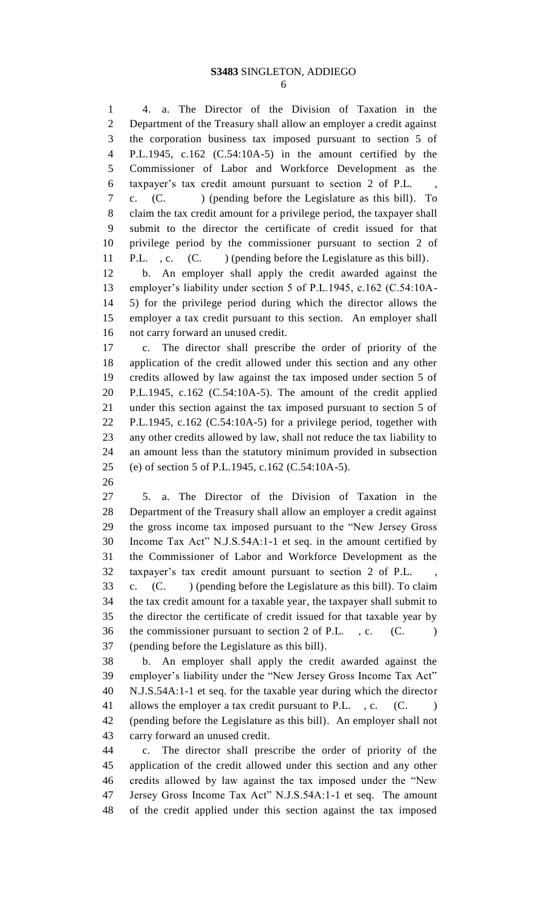4. a. The Director of the Division of Taxation in the Department of the Treasury shall allow an employer a credit against the corporation business tax imposed pursuant to section 5 of P.L.1945, c.162 (C.54:10A-5) in the amount certified by the Commissioner of Labor and Workforce Development as the taxpayer's tax credit amount pursuant to section 2 of P.L. , c. (C. ) (pending before the Legislature as this bill). To claim the tax credit amount for a privilege period, the taxpayer shall submit to the director the certificate of credit issued for that privilege period by the commissioner pursuant to section 2 of 11 P.L. , c. (C. ) (pending before the Legislature as this bill). b. An employer shall apply the credit awarded against the employer's liability under section 5 of P.L.1945, c.162 (C.54:10A- 5) for the privilege period during which the director allows the employer a tax credit pursuant to this section. An employer shall not carry forward an unused credit. c. The director shall prescribe the order of priority of the application of the credit allowed under this section and any other credits allowed by law against the tax imposed under section 5 of P.L.1945, c.162 (C.54:10A-5). The amount of the credit applied under this section against the tax imposed pursuant to section 5 of P.L.1945, c.162 (C.54:10A-5) for a privilege period, together with any other credits allowed by law, shall not reduce the tax liability to an amount less than the statutory minimum provided in subsection (e) of section 5 of P.L.1945, c.162 (C.54:10A-5). 5. a. The Director of the Division of Taxation in the Department of the Treasury shall allow an employer a credit against the gross income tax imposed pursuant to the "New Jersey Gross Income Tax Act" N.J.S.54A:1-1 et seq. in the amount certified by the Commissioner of Labor and Workforce Development as the taxpayer's tax credit amount pursuant to section 2 of P.L. , c. (C. ) (pending before the Legislature as this bill). To claim the tax credit amount for a taxable year, the taxpayer shall submit to the director the certificate of credit issued for that taxable year by 36 the commissioner pursuant to section 2 of P.L., c. (C. ) (pending before the Legislature as this bill). b. An employer shall apply the credit awarded against the employer's liability under the "New Jersey Gross Income Tax Act" N.J.S.54A:1-1 et seq. for the taxable year during which the director 41 allows the employer a tax credit pursuant to P.L., c. (C.) (pending before the Legislature as this bill). An employer shall not carry forward an unused credit. c. The director shall prescribe the order of priority of the application of the credit allowed under this section and any other credits allowed by law against the tax imposed under the "New Jersey Gross Income Tax Act" N.J.S.54A:1-1 et seq. The amount of the credit applied under this section against the tax imposed